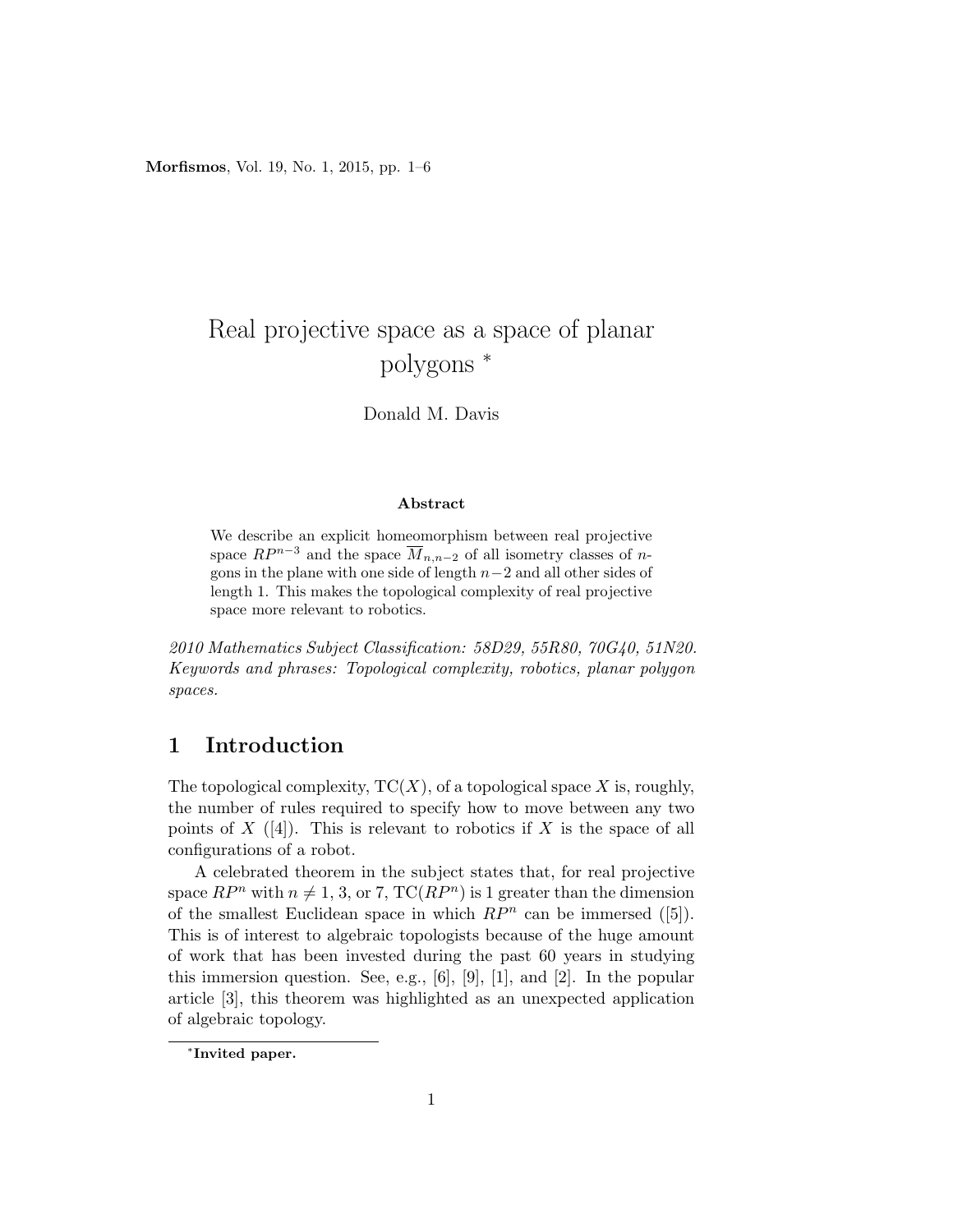Morfismos, Vol. 19, No. 1, 2015, pp. 1–6

# Real projective space as a space of planar polygons <sup>∗</sup>

Donald M. Davis

#### Abstract

We describe an explicit homeomorphism between real projective space  $RP^{n-3}$  and the space  $\overline{M}_{n,n-2}$  of all isometry classes of ngons in the plane with one side of length n−2 and all other sides of length 1. This makes the topological complexity of real projective space more relevant to robotics.

2010 Mathematics Subject Classification: 58D29, 55R80, 70G40, 51N20. Keywords and phrases: Topological complexity, robotics, planar polygon spaces.

### 1 Introduction

The topological complexity,  $TC(X)$ , of a topological space X is, roughly, the number of rules required to specify how to move between any two points of  $X$  ([4]). This is relevant to robotics if  $X$  is the space of all configurations of a robot.

A celebrated theorem in the subject states that, for real projective space  $RP^n$  with  $n \neq 1, 3$ , or 7, TC( $RP^n$ ) is 1 greater than the dimension of the smallest Euclidean space in which  $RP<sup>n</sup>$  can be immersed ([5]). This is of interest to algebraic topologists because of the huge amount of work that has been invested during the past 60 years in studying this immersion question. See, e.g.,  $[6]$ ,  $[9]$ ,  $[1]$ , and  $[2]$ . In the popular article [3], this theorem was highlighted as an unexpected application of algebraic topology.

<sup>∗</sup> Invited paper.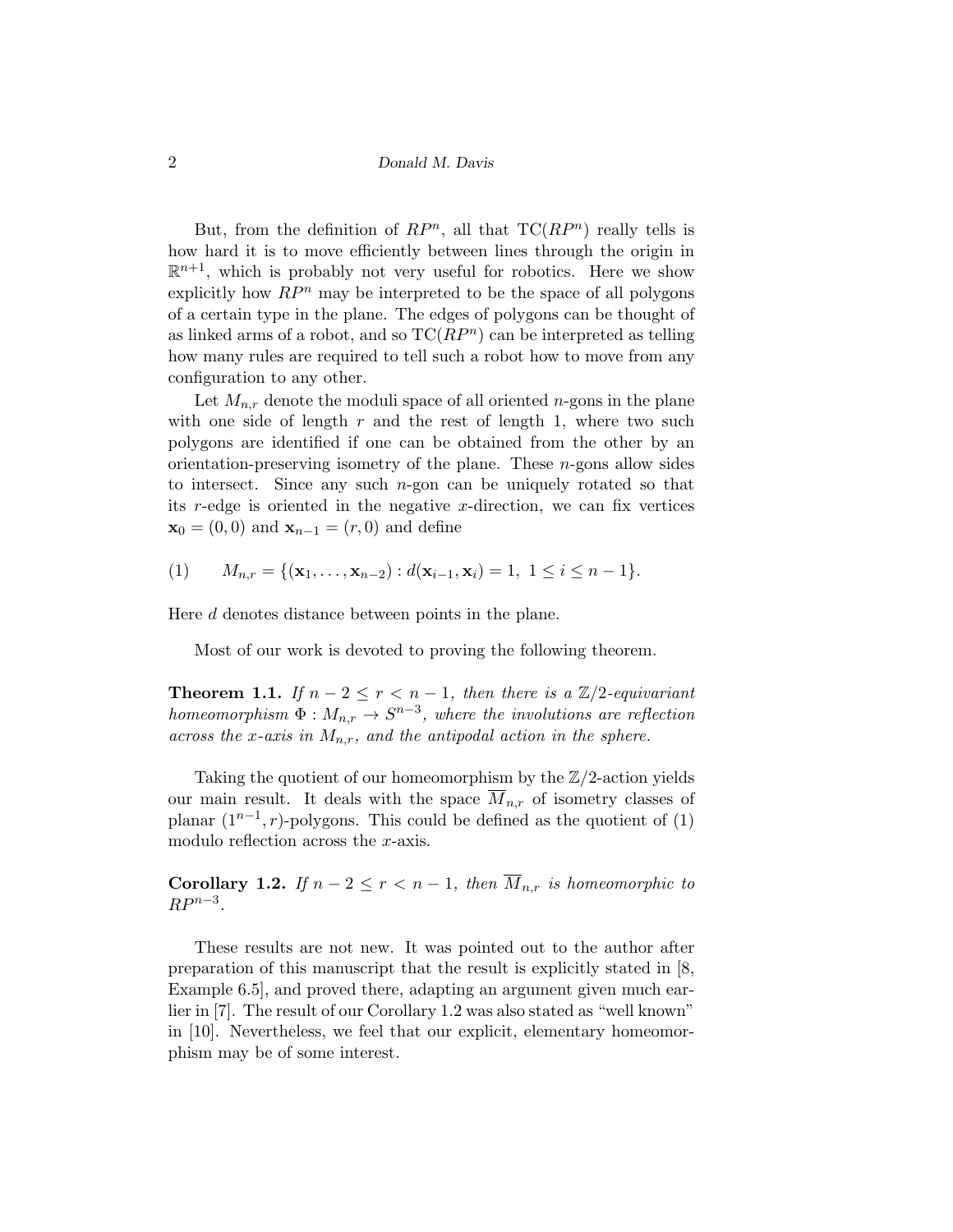2 Donald M. Davis

But, from the definition of  $RP^n$ , all that  $TC(RP^n)$  really tells is how hard it is to move efficiently between lines through the origin in  $\mathbb{R}^{n+1}$ , which is probably not very useful for robotics. Here we show explicitly how  $RP^n$  may be interpreted to be the space of all polygons of a certain type in the plane. The edges of polygons can be thought of as linked arms of a robot, and so  $TC(RP<sup>n</sup>)$  can be interpreted as telling how many rules are required to tell such a robot how to move from any configuration to any other.

Let  $M_{n,r}$  denote the moduli space of all oriented *n*-gons in the plane with one side of length  $r$  and the rest of length 1, where two such polygons are identified if one can be obtained from the other by an orientation-preserving isometry of the plane. These  $n$ -gons allow sides to intersect. Since any such  $n$ -gon can be uniquely rotated so that its r-edge is oriented in the negative x-direction, we can fix vertices  $\mathbf{x}_0 = (0,0)$  and  $\mathbf{x}_{n-1} = (r,0)$  and define

(1) 
$$
M_{n,r} = \{(\mathbf{x}_1, ..., \mathbf{x}_{n-2}) : d(\mathbf{x}_{i-1}, \mathbf{x}_i) = 1, 1 \le i \le n-1\}.
$$

Here d denotes distance between points in the plane.

Most of our work is devoted to proving the following theorem.

**Theorem 1.1.** If  $n-2 \leq r < n-1$ , then there is a  $\mathbb{Z}/2$ -equivariant homeomorphism  $\Phi: M_{n,r} \to S^{n-3}$ , where the involutions are reflection across the x-axis in  $M_{n,r}$ , and the antipodal action in the sphere.

Taking the quotient of our homeomorphism by the  $\mathbb{Z}/2$ -action yields our main result. It deals with the space  $\overline{M}_{n,r}$  of isometry classes of planar  $(1^{n-1}, r)$ -polygons. This could be defined as the quotient of  $(1)$ modulo reflection across the x-axis.

**Corollary 1.2.** If  $n-2 \leq r < n-1$ , then  $\overline{M}_{n,r}$  is homeomorphic to  $RP^{n-3}$ .

These results are not new. It was pointed out to the author after preparation of this manuscript that the result is explicitly stated in [8, Example 6.5], and proved there, adapting an argument given much earlier in [7]. The result of our Corollary 1.2 was also stated as "well known" in [10]. Nevertheless, we feel that our explicit, elementary homeomorphism may be of some interest.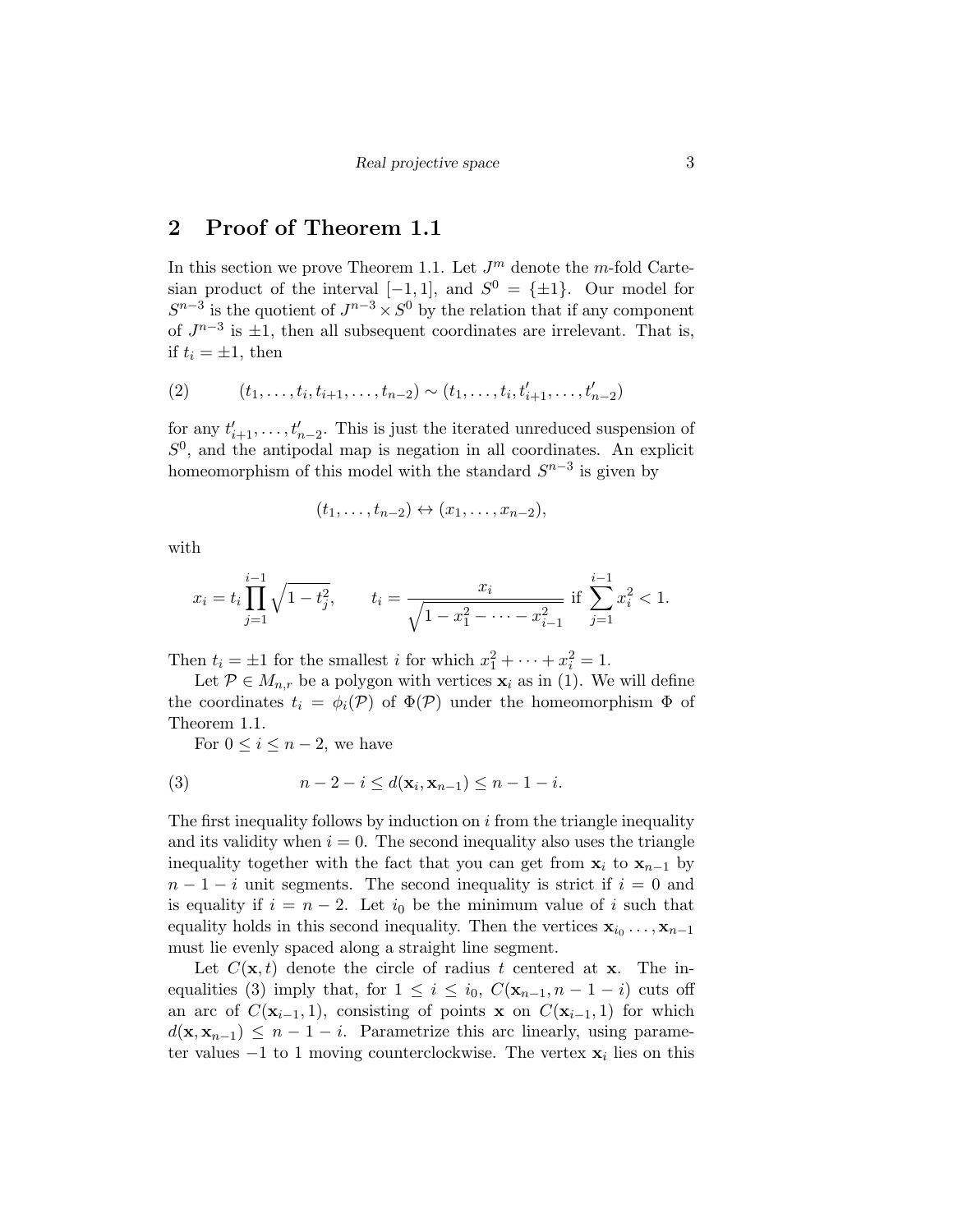## 2 Proof of Theorem 1.1

In this section we prove Theorem 1.1. Let  $J^m$  denote the m-fold Cartesian product of the interval  $[-1, 1]$ , and  $S^0 = {\pm 1}$ . Our model for  $S^{n-3}$  is the quotient of  $J^{n-3} \times S^0$  by the relation that if any component of  $J^{n-3}$  is  $\pm 1$ , then all subsequent coordinates are irrelevant. That is, if  $t_i = \pm 1$ , then

(2) 
$$
(t_1, \ldots, t_i, t_{i+1}, \ldots, t_{n-2}) \sim (t_1, \ldots, t_i, t'_{i+1}, \ldots, t'_{n-2})
$$

for any  $t'_{i+1}, \ldots, t'_{n-2}$ . This is just the iterated unreduced suspension of  $S<sup>0</sup>$ , and the antipodal map is negation in all coordinates. An explicit homeomorphism of this model with the standard  $S^{n-3}$  is given by

$$
(t_1,\ldots,t_{n-2})\leftrightarrow(x_1,\ldots,x_{n-2}),
$$

with

$$
x_i = t_i \prod_{j=1}^{i-1} \sqrt{1 - t_j^2}, \qquad t_i = \frac{x_i}{\sqrt{1 - x_1^2 - \dots - x_{i-1}^2}} \text{ if } \sum_{j=1}^{i-1} x_i^2 < 1.
$$

Then  $t_i = \pm 1$  for the smallest *i* for which  $x_1^2 + \cdots + x_i^2 = 1$ .

Let  $P \in M_{n,r}$  be a polygon with vertices  $\mathbf{x}_i$  as in (1). We will define the coordinates  $t_i = \phi_i(\mathcal{P})$  of  $\Phi(\mathcal{P})$  under the homeomorphism  $\Phi$  of Theorem 1.1.

For  $0 \leq i \leq n-2$ , we have

(3) 
$$
n-2-i \le d(\mathbf{x}_i, \mathbf{x}_{n-1}) \le n-1-i.
$$

The first inequality follows by induction on  $i$  from the triangle inequality and its validity when  $i = 0$ . The second inequality also uses the triangle inequality together with the fact that you can get from  $x_i$  to  $x_{n-1}$  by  $n-1-i$  unit segments. The second inequality is strict if  $i=0$  and is equality if  $i = n - 2$ . Let  $i_0$  be the minimum value of i such that equality holds in this second inequality. Then the vertices  $x_{i_0} \dots, x_{n-1}$ must lie evenly spaced along a straight line segment.

Let  $C(\mathbf{x}, t)$  denote the circle of radius t centered at **x**. The inequalities (3) imply that, for  $1 \leq i \leq i_0$ ,  $C(\mathbf{x}_{n-1}, n-1-i)$  cuts off an arc of  $C(\mathbf{x}_{i-1}, 1)$ , consisting of points x on  $C(\mathbf{x}_{i-1}, 1)$  for which  $d(\mathbf{x}, \mathbf{x}_{n-1}) \leq n-1-i$ . Parametrize this arc linearly, using parameter values  $-1$  to 1 moving counterclockwise. The vertex  $\mathbf{x}_i$  lies on this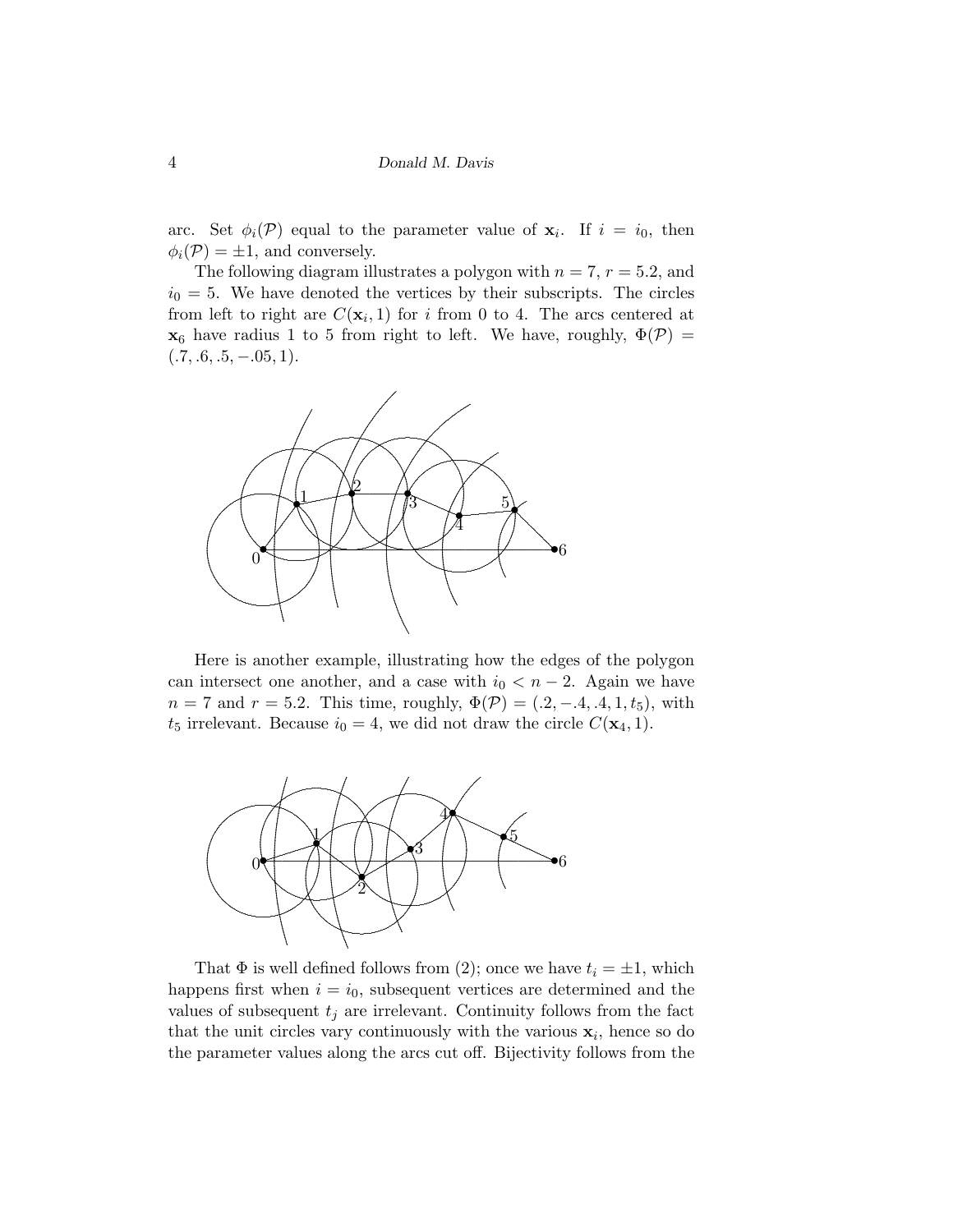arc. Set  $\phi_i(\mathcal{P})$  equal to the parameter value of  $x_i$ . If  $i = i_0$ , then  $\phi_i(\mathcal{P}) = \pm 1$ , and conversely.

The following diagram illustrates a polygon with  $n = 7$ ,  $r = 5.2$ , and  $i_0 = 5$ . We have denoted the vertices by their subscripts. The circles from left to right are  $C(\mathbf{x}_i, 1)$  for i from 0 to 4. The arcs centered at  $\mathbf{x}_6$  have radius 1 to 5 from right to left. We have, roughly,  $\Phi(\mathcal{P}) =$  $(.7, .6, .5, -.05, 1).$ 



Here is another example, illustrating how the edges of the polygon can intersect one another, and a case with  $i_0 < n-2$ . Again we have  $n = 7$  and  $r = 5.2$ . This time, roughly,  $\Phi(\mathcal{P}) = (0.2, -0.4, 0.4, 1, t_5)$ , with  $t_5$  irrelevant. Because  $i_0 = 4$ , we did not draw the circle  $C(\mathbf{x}_4, 1)$ .



That  $\Phi$  is well defined follows from (2); once we have  $t_i = \pm 1$ , which happens first when  $i = i_0$ , subsequent vertices are determined and the values of subsequent  $t_i$  are irrelevant. Continuity follows from the fact that the unit circles vary continuously with the various  $x_i$ , hence so do the parameter values along the arcs cut off. Bijectivity follows from the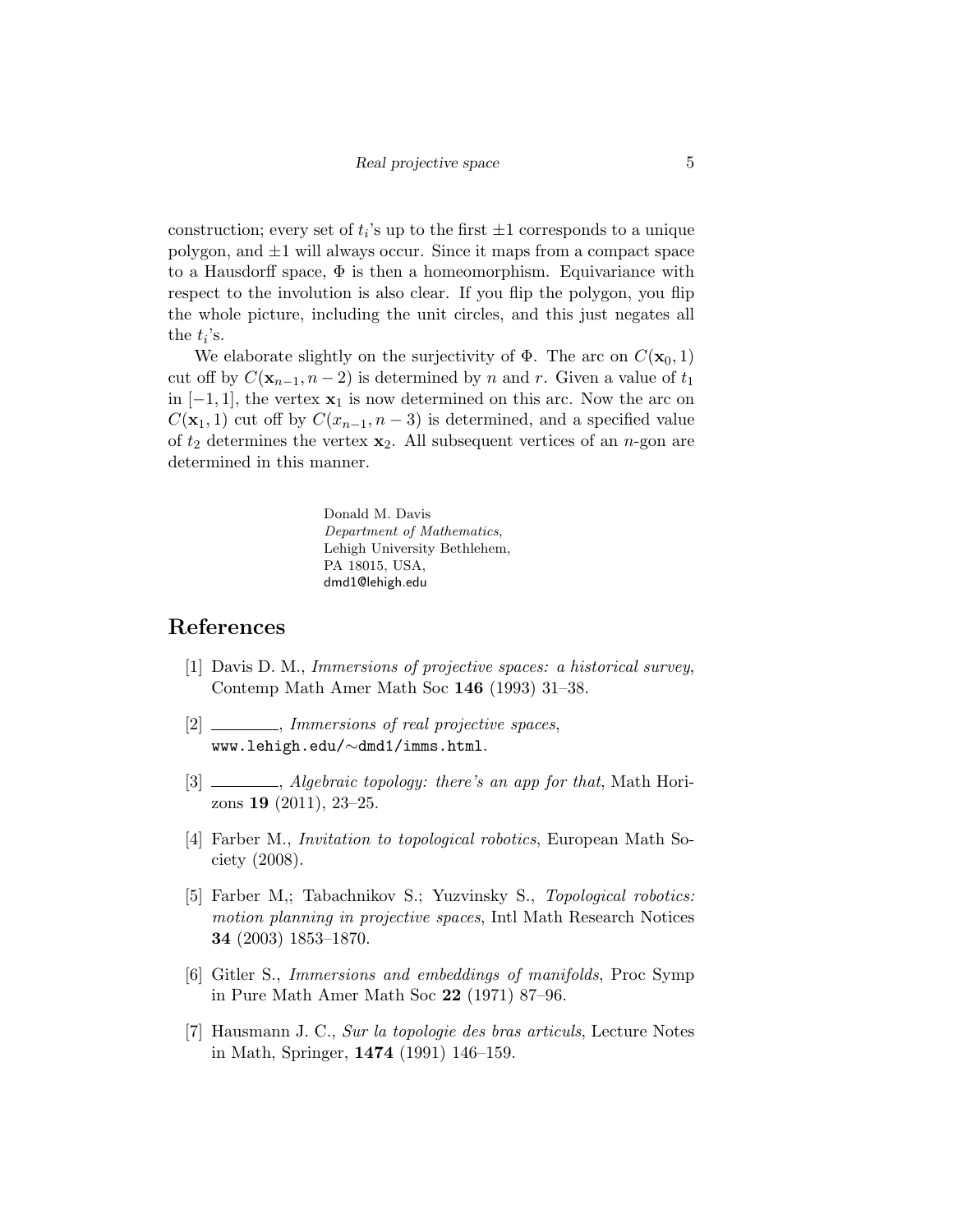construction; every set of  $t_i$ 's up to the first  $\pm 1$  corresponds to a unique polygon, and  $\pm 1$  will always occur. Since it maps from a compact space to a Hausdorff space,  $\Phi$  is then a homeomorphism. Equivariance with respect to the involution is also clear. If you flip the polygon, you flip the whole picture, including the unit circles, and this just negates all the  $t_i$ 's.

We elaborate slightly on the surjectivity of  $\Phi$ . The arc on  $C(\mathbf{x}_0, 1)$ cut off by  $C(\mathbf{x}_{n-1}, n-2)$  is determined by n and r. Given a value of  $t_1$ in  $[-1, 1]$ , the vertex  $\mathbf{x}_1$  is now determined on this arc. Now the arc on  $C(\mathbf{x}_1, 1)$  cut off by  $C(x_{n-1}, n-3)$  is determined, and a specified value of  $t_2$  determines the vertex  $\mathbf{x}_2$ . All subsequent vertices of an *n*-gon are determined in this manner.

> Donald M. Davis Department of Mathematics, Lehigh University Bethlehem, PA 18015, USA, dmd1@lehigh.edu

### References

- [1] Davis D. M., Immersions of projective spaces: a historical survey, Contemp Math Amer Math Soc 146 (1993) 31–38.
- [2] \_\_\_\_\_\_, Immersions of real projective spaces, www.lehigh.edu/∼dmd1/imms.html.
- [3] , Algebraic topology: there's an app for that, Math Horizons 19 (2011), 23–25.
- [4] Farber M., Invitation to topological robotics, European Math Society (2008).
- [5] Farber M,; Tabachnikov S.; Yuzvinsky S., Topological robotics: motion planning in projective spaces, Intl Math Research Notices 34 (2003) 1853–1870.
- [6] Gitler S., Immersions and embeddings of manifolds, Proc Symp in Pure Math Amer Math Soc 22 (1971) 87–96.
- [7] Hausmann J. C., Sur la topologie des bras articuls, Lecture Notes in Math, Springer, 1474 (1991) 146–159.